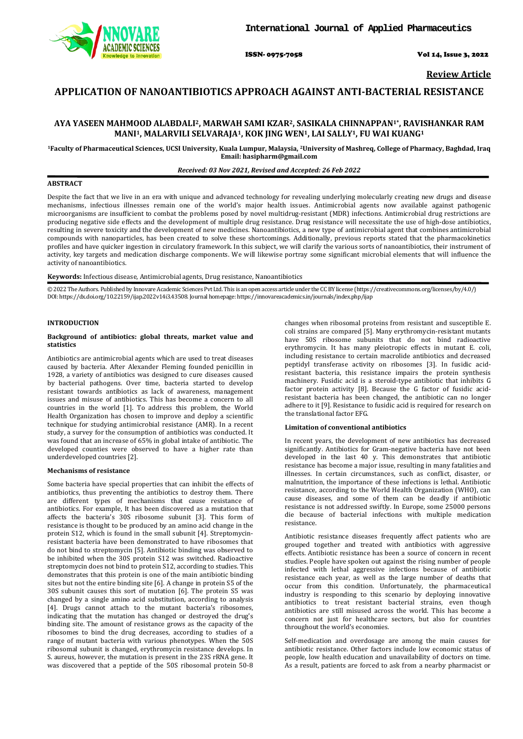

ISSN- 0975-7058 Vol 14, Issue 3, 2022

**Review Article**

# **APPLICATION OF NANOANTIBIOTICS APPROACH AGAINST ANTI-BACTERIAL RESISTANCE**

# **AYA YASEEN MAHMOOD ALABDALI2, MARWAH SAMI KZAR2, SASIKALA CHINNAPPAN1\*, RAVISHANKAR RAM MANI1, MALARVILI SELVARAJA1, KOK JING WEN1, LAI SALLY1, FU WAI KUANG1**

**1Faculty of Pharmaceutical Sciences, UCSI University, Kuala Lumpur, Malaysia, 2University of Mashreq, College of Pharmacy, Baghdad, Iraq Email[: hasipharm@gmail.com](mailto:hasipharm@gmail.com)**

### *Received: 03 Nov 2021, Revised and Accepted: 26 Feb 2022*

#### **ABSTRACT**

Despite the fact that we live in an era with unique and advanced technology for revealing underlying molecularly creating new drugs and disease mechanisms, infectious illnesses remain one of the world's major health issues. Antimicrobial agents now available against pathogenic microorganisms are insufficient to combat the problems posed by novel multidrug-resistant (MDR) infections. Antimicrobial drug restrictions are producing negative side effects and the development of multiple drug resistance. Drug resistance will necessitate the use of high-dose antibiotics, resulting in severe toxicity and the development of new medicines. Nanoantibiotics, a new type of antimicrobial agent that combines antimicrobial compounds with nanoparticles, has been created to solve these shortcomings. Additionally, previous reports stated that the pharmacokinetics profiles and have quicker ingestion in circulatory framework. In this subject, we will clarify the various sorts of nanoantibiotics, their instrument of activity, key targets and medication discharge components. We will likewise portray some significant microbial elements that will influence the activity of nanoantibiotics.

**Keywords:** Infectious disease, Antimicrobial agents, Drug resistance, Nanoantibiotics

© 2022 The Authors. Published by Innovare Academic Sciences Pvt Ltd. This is an open access article under the CC BY license [\(https://creativecommons.org/licenses/by/4.0/\)](https://creativecommons.org/licenses/by/4.0/) DOI: https://dx.doi.org/10.22159/ijap.2022v14i3.43508. Journal homepage[: https://innovareacademics.in/journals/index.php/ijap](https://innovareacademics.in/journals/index.php/ijap)

### **INTRODUCTION**

#### **Background of antibiotics: global threats, market value and statistics**

Antibiotics are antimicrobial agents which are used to treat diseases caused by bacteria. After Alexander Fleming founded penicillin in 1928, a variety of antibiotics was designed to cure diseases caused by bacterial pathogens. Over time, bacteria started to develop resistant towards antibiotics as lack of awareness, management issues and misuse of antibiotics. This has become a concern to all countries in the world [1]. To address this problem, the World Health Organization has chosen to improve and deploy a scientific technique for studying antimicrobial resistance (AMR). In a recent study, a survey for the consumption of antibiotics was conducted. It was found that an increase of 65% in global intake of antibiotic. The developed counties were observed to have a higher rate than underdeveloped countries [2].

### **Mechanisms of resistance**

Some bacteria have special properties that can inhibit the effects of antibiotics, thus preventing the antibiotics to destroy them. There are different types of mechanisms that cause resistance of antibiotics. For example, It has been discovered as a mutation that affects the bacteria's 30S ribosome subunit [3]. This form of resistance is thought to be produced by an amino acid change in the protein S12, which is found in the small subunit [4]. Streptomycinresistant bacteria have been demonstrated to have ribosomes that do not bind to streptomycin [5]. Antibiotic binding was observed to be inhibited when the 30S protein S12 was switched. Radioactive streptomycin does not bind to protein S12, according to studies. This demonstrates that this protein is one of the main antibiotic binding sites but not the entire binding site [6]. A change in protein S5 of the 30S subunit causes this sort of mutation [6]. The protein S5 was changed by a single amino acid substitution, according to analysis [4]. Drugs cannot attach to the mutant bacteria's ribosomes, indicating that the mutation has changed or destroyed the drug's binding site. The amount of resistance grows as the capacity of the ribosomes to bind the drug decreases, according to studies of a range of mutant bacteria with various phenotypes. When the 50S ribosomal subunit is changed, erythromycin resistance develops. In S. aureus, however, the mutation is present in the 23S rRNA gene. It was discovered that a peptide of the 50S ribosomal protein 50-8

changes when ribosomal proteins from resistant and susceptible E. coli strains are compared [5]. Many erythromycin-resistant mutants have 50S ribosome subunits that do not bind radioactive erythromycin. It has many pleiotropic effects in mutant E. coli, including resistance to certain macrolide antibiotics and decreased peptidyl transferase activity on ribosomes [3]. In fusidic acidresistant bacteria, this resistance impairs the protein synthesis machinery. Fusidic acid is a steroid-type antibiotic that inhibits G factor protein activity [8]. Because the G factor of fusidic acidresistant bacteria has been changed, the antibiotic can no longer adhere to it [9]. Resistance to fusidic acid is required for research on the translational factor EFG.

### **Limitation of conventional antibiotics**

In recent years, the development of new antibiotics has decreased significantly. Antibiotics for Gram-negative bacteria have not been developed in the last 40 y. This demonstrates that antibiotic resistance has become a major issue, resulting in many fatalities and illnesses. In certain circumstances, such as conflict, disaster, or malnutrition, the importance of these infections is lethal. Antibiotic resistance, according to the World Health Organization (WHO), can cause diseases, and some of them can be deadly if antibiotic resistance is not addressed swiftly. In Europe, some 25000 persons die because of bacterial infections with multiple medication resistance.

Antibiotic resistance diseases frequently affect patients who are grouped together and treated with antibiotics with aggressive effects. Antibiotic resistance has been a source of concern in recent studies. People have spoken out against the rising number of people infected with lethal aggressive infections because of antibiotic resistance each year, as well as the large number of deaths that occur from this condition. Unfortunately, the pharmaceutical industry is responding to this scenario by deploying innovative antibiotics to treat resistant bacterial strains, even though antibiotics are still misused across the world. This has become a concern not just for healthcare sectors, but also for countries throughout the world's economies.

Self-medication and overdosage are among the main causes for antibiotic resistance. Other factors include low economic status of people, low health education and unavailability of doctors on time. As a result, patients are forced to ask from a nearby pharmacist or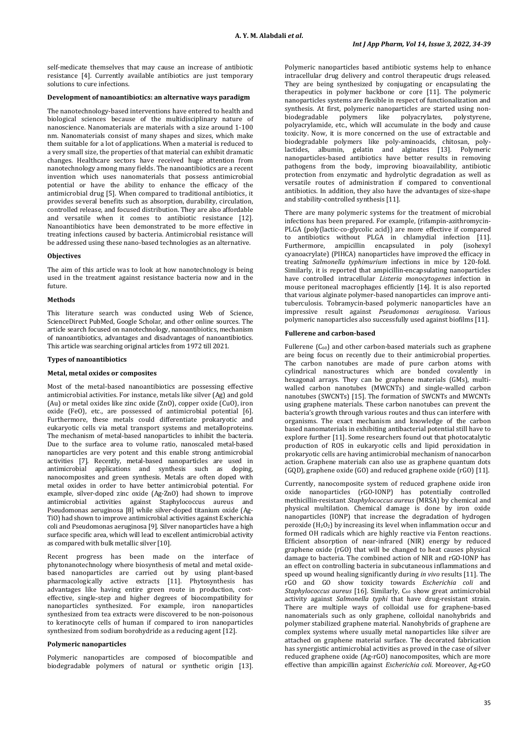self-medicate themselves that may cause an increase of antibiotic resistance [4]. Currently available antibiotics are just temporary solutions to cure infections.

#### **Development of nanoantibiotics: an alternative ways paradigm**

The nanotechnology-based interventions have entered to health and biological sciences because of the multidisciplinary nature of nanoscience. Nanomaterials are materials with a size around 1-100 nm. Nanomaterials consist of many shapes and sizes, which make them suitable for a lot of applications. When a material is reduced to a very small size, the properties of that material can exhibit dramatic changes. Healthcare sectors have received huge attention from nanotechnology among many fields. The nanoantibiotics are a recent invention which uses nanomaterials that possess antimicrobial potential or have the ability to enhance the efficacy of the antimicrobial drug [5]. When compared to traditional antibiotics, it provides several benefits such as absorption, durability, circulation, controlled release, and focused distribution. They are also affordable and versatile when it comes to antibiotic resistance [12]. Nanoantibiotics have been demonstrated to be more effective in treating infections caused by bacteria. Antimicrobial resistance will be addressed using these nano-based technologies as an alternative.

### **Objectives**

The aim of this article was to look at how nanotechnology is being used in the treatment against resistance bacteria now and in the future.

#### **Methods**

This literature search was conducted using Web of Science, ScienceDirect PubMed, Google Scholar, and other online sources. The article search focused on nanotechnology, nanoantibiotics, mechanism of nanoantibiotics, advantages and disadvantages of nanoantibiotics. This article was searching original articles from 1972 till 2021.

### **Types of nanoantibiotics**

#### **Metal, metal oxides or composites**

Most of the metal-based nanoantibiotics are possessing effective antimicrobial activities. For instance, metals like silver (Ag) and gold (Au) or metal oxides like zinc oxide (ZnO), copper oxide (CuO), iron oxide (FeO), etc., are possessed of antimicrobial potential [6]. Furthermore, these metals could differentiate prokaryotic and eukaryotic cells via metal transport systems and metalloproteins. The mechanism of metal-based nanoparticles to inhibit the bacteria. Due to the surface area to volume ratio, nanoscaled metal-based nanoparticles are very potent and this enable strong antimicrobial activities [7]. Recently, metal-based nanoparticles are used in antimicrobial applications and synthesis such as doping, nanocomposites and green synthesis. Metals are often doped with metal oxides in order to have better antimicrobial potential. For example, silver-doped zinc oxide (Ag-ZnO) had shown to improve antimicrobial activities against Staphylococcus aureus and Pseudomonas aeruginosa [8] while silver-doped titanium oxide (Ag-TiO) had shown to improve antimicrobial activities against Escherichia coli and Pseudomonas aeruginosa [9]. Silver nanoparticles have a high surface specific area, which will lead to excellent antimicrobial activity as compared with bulk metallic silver [10].

Recent progress has been made on the interface of phytonanotechnology where biosynthesis of metal and metal oxidebased nanoparticles are carried out by using plant-based pharmacologically active extracts [11]. Phytosynthesis has advantages like having entire green route in production, costeffective, single-step and higher degrees of biocompatibility for nanoparticles synthesized. For example, iron nanoparticles synthesized from tea extracts were discovered to be non-poisonous to keratinocyte cells of human if compared to iron nanoparticles synthesized from sodium borohydride as a reducing agent [12].

#### **Polymeric nanoparticles**

Polymeric nanoparticles are composed of biocompatible and biodegradable polymers of natural or synthetic origin [13].

Polymeric nanoparticles based antibiotic systems help to enhance intracellular drug delivery and control therapeutic drugs released. They are being synthesized by conjugating or encapsulating the therapeutics in polymer backbone or core [11]. The polymeric nanoparticles systems are flexible in respect of functionalization and synthesis. At first, polymeric nanoparticles are started using nonbiodegradable polymers like polyacrylates, polystyrene, polyacrylamide, etc., which will accumulate in the body and cause toxicity. Now, it is more concerned on the use of extractable and biodegradable polymers like poly-aminoacids, chitosan, polylactides, albumin, gelatin and alginates [13]. Polymeric nanoparticles-based antibiotics have better results in removing pathogens from the body, improving bioavailability, antibiotic protection from enzymatic and hydrolytic degradation as well as versatile routes of administration if compared to conventional antibiotics. In addition, they also have the advantages of size-shape and stability-controlled synthesis [11].

There are many polymeric systems for the treatment of microbial infections has been prepared. For example, (rifampin-azithromycin-PLGA (poly(lactic-co-glycolic acid)) are more effective if compared to antibiotics without PLGA in chlamydial infection [11]. Furthermore, ampicillin encapsulated in poly (isohexyl cyanoacrylate) (PIHCA) nanoparticles have improved the efficacy in treating *Salmonella typhimurium* infections in mice by 120-fold. Similarly, it is reported that ampicillin-encapsulating nanoparticles have controlled intracellular *Listeria monocytogenes* infection in mouse peritoneal macrophages efficiently [14]. It is also reported that various alginate polymer-based nanoparticles can improve antituberculosis. Tobramycin-based polymeric nanoparticles have an impressive result against *Pseudomonas aeruginosa*. Various polymeric nanoparticles also successfully used against biofilms [11].

### **Fullerene and carbon-based**

Fullerene  $(C_{60})$  and other carbon-based materials such as graphene are being focus on recently due to their antimicrobial properties. The carbon nanotubes are made of pure carbon atoms with cylindrical nanostructures which are bonded covalently in hexagonal arrays. They can be graphene materials (GMs), multiwalled carbon nanotubes (MWCNTs) and single-walled carbon nanotubes (SWCNTs) [15]. The formation of SWCNTs and MWCNTs using graphene materials. These carbon nanotubes can prevent the bacteria's growth through various routes and thus can interfere with organisms. The exact mechanism and knowledge of the carbon based nanomaterials in exhibiting antibacterial potential still have to explore further [11]. Some researchers found out that photocatalytic production of ROS in eukaryotic cells and lipid peroxidation in prokaryotic cells are having antimicrobial mechanism of nanocarbon action. Graphene materials can also use as graphene quantum dots (GQD), graphene oxide (GO) and reduced graphene oxide (rGO) [11].

Currently, nanocomposite system of reduced graphene oxide iron oxide nanoparticles (rGO-IONP) has potentially controlled methicillin-resistant *Staphylococcus aureus* (MRSA) by chemical and physical multilation. Chemical damage is done by iron oxide nanoparticles (IONP) that increase the degradation of hydrogen peroxide  $(H_2O_2)$  by increasing its level when inflammation occur and formed OH radicals which are highly reactive via Fenton reactions. Efficient absorption of near-infrared (NIR) energy by reduced graphene oxide (rGO) that will be changed to heat causes physical damage to bacteria. The combined action of NIR and rGO-IONP has an effect on controlling bacteria in subcutaneous inflammations and speed up wound healing significantly during *in vivo* results [11]. The rGO and GO show toxicity towards *Escherichia coli* and Staphylococcus aureus [16]. Similarly, C<sub>60</sub> show great antimicrobial activity against *Salmonella typhi* that have drug-resistant strain. There are multiple ways of colloidal use for graphene-based nanomaterials such as only graphene, colloidal nanohybrids and polymer stabilized graphene material. Nanohybrids of graphene are complex systems where usually metal nanoparticles like silver are attached on graphene material surface. The decorated fabrication has synergistic antimicrobial activities as proved in the case of silver reduced graphene oxide (Ag-rGO) nanocomposites, which are more effective than ampicillin against *Escherichia coli*. Moreover, Ag-rGO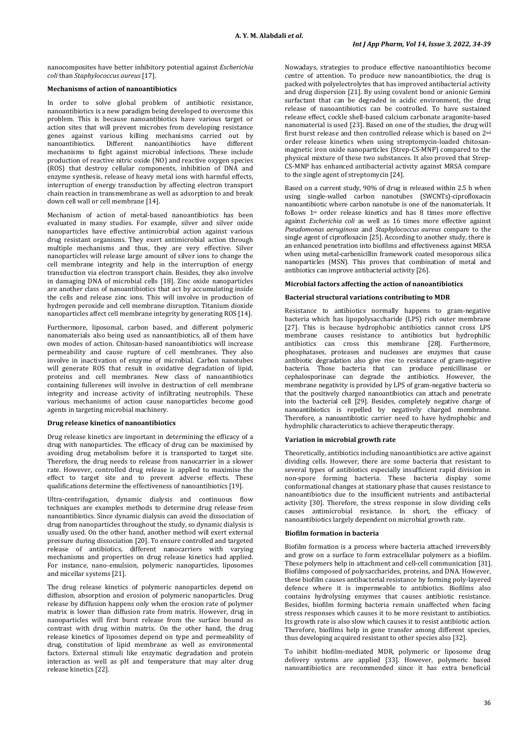nanocomposites have better inhibitory potential against *Escherichia coli* than *Staphylococcus aureus* [17].

### **Mechanisms of action of nanoantibiotics**

In order to solve global problem of antibiotic resistance, nanoantibiotics is a new paradigm being developed to overcome this problem. This is because nanoantibiotics have various target or action sites that will prevent microbes from developing resistance genes against various killing mechanisms carried out by<br>nanoantibiotics Different nanoantibiotics have different Different nanoantibiotics mechanisms to fight against microbial infections. These include production of reactive nitric oxide (NO) and reactive oxygen species (ROS) that destroy cellular components, inhibition of DNA and enzyme synthesis, release of heavy metal ions with harmful effects, interruption of energy transduction by affecting electron transport chain reaction in transmembrane as well as adsorption to and break down cell wall or cell membrane [14].

Mechanism of action of metal-based nanoantibiotics has been evaluated in many studies. For example, silver and silver oxide nanoparticles have effective antimicrobial action against various drug resistant organisms. They exert antimicrobial action through multiple mechanisms and thus, they are very effective. Silver nanoparticles will release large amount of silver ions to change the cell membrane integrity and help in the interruption of energy transduction via electron transport chain. Besides, they also involve in damaging DNA of microbial cells [18]. Zinc oxide nanoparticles are another class of nanoantibiotics that act by accumulating inside the cells and release zinc ions. This will involve in production of hydrogen peroxide and cell membrane disruption. Titanium dioxide nanoparticles affect cell membrane integrity by generating ROS [14].

Furthermore, liposomal, carbon based, and different polymeric nanomaterials also being used as nanoantibiotics, all of them have own modes of action. Chitosan-based nanoantibiotics will increase permeability and cause rupture of cell membranes. They also involve in inactivation of enzyme of microbial. Carbon nanotubes will generate ROS that result in oxidative degradation of lipid, proteins and cell membranes. New class of nanoantibiotics containing fullerenes will involve in destruction of cell membrane integrity and increase activity of infiltrating neutrophils. These various mechanisms of action cause nanoparticles become good agents in targeting microbial machinery.

### **Drug release kinetics of nanoantibiotics**

Drug release kinetics are important in determining the efficacy of a drug with nanoparticles. The efficacy of drug can be maximised by avoiding drug metabolism before it is transported to target site. Therefore, the drug needs to release from nanocarrier in a slower rate. However, controlled drug release is applied to maximise the effect to target site and to prevent adverse effects. These qualifications determine the effectiveness of nanoantibiotics [19].

Ultra-centrifugation, dynamic dialysis and continuous flow techniques are examples methods to determine drug release from nanoantibiotics. Since dynamic dialysis can avoid the dissociation of drug from nanoparticles throughout the study, so dynamic dialysis is usually used. On the other hand, another method will exert external pressure during dissociation [20]. To ensure controlled and targeted release of antibiotics, different nanocarriers with varying mechanisms and properties on drug release kinetics had applied. For instance, nano-emulsion, polymeric nanoparticles, liposomes and micellar systems [21].

The drug release kinetics of polymeric nanoparticles depend on diffusion, absorption and erosion of polymeric nanoparticles. Drug release by diffusion happens only when the erosion rate of polymer matrix is lower than diffusion rate from matrix. However, drug in nanoparticles will first burst release from the surface bound as contrast with drug within matrix. On the other hand, the drug release kinetics of liposomes depend on type and permeability of drug, constitution of lipid membrane as well as environmental factors. External stimuli like enzymatic degradation and protein interaction as well as pH and temperature that may alter drug release kinetics [22].

Nowadays, strategies to produce effective nanoantibiotics become centre of attention. To produce new nanoantibiotics, the drug is packed with polyelectrolytes that has improved antibacterial activity and drug dispersion [21]. By using covalent bond or anionic Gemini surfactant that can be degraded in acidic environment, the drug release of nanoantibiotics can be controlled. To have sustained release effect, cockle shell-based calcium carbonate aragonite-based nanomaterial is used [23]. Based on one of the studies, the drug will first burst release and then controlled release which is based on 2nd order release kinetics when using streptomycin-loaded chitosanmagnetic iron oxide nanoparticles (Strep-CS-MNP) compared to the physical mixture of these two substances. It also proved that Strep-CS-MNP has enhanced antibacterial activity against MRSA compare to the single agent of streptomycin [24].

Based on a current study, 90% of drug is released within 2.5 h when using single-walled carbon nanotubes (SWCNTs)-ciprofloxacin nanoantibiotic where carbon nanotube is one of the nanomaterials. It follows 1st order release kinetics and has 8 times more effective against *Escherichia coli* as well as 16 times more effective against *Pseudomonas aeruginosa* and *Staphylococcus aureus* compare to the single agent of ciprofloxacin [25]. According to another study, there is an enhanced penetration into biofilms and effectiveness against MRSA when using metal-carbenicillin framework coated mesoporous silica nanoparticles (MSN). This proves that combination of metal and antibiotics can improve antibacterial activity [26].

## **Microbial factors affecting the action of nanoantibiotics**

### **Bacterial structural variations contributing to MDR**

Resistance to antibiotics normally happens to gram-negative bacteria which has lipopolysaccharide (LPS) rich outer membrane [27]. This is because hydrophobic antibiotics cannot cross LPS membrane causes resistance to antibiotics but hydrophilic antibiotics can cross this membrane [28]. Furthermore, phosphatases, proteases and nucleases are enzymes that cause antibiotic degradation also give rise to resistance of gram-negative bacteria. Those bacteria that can produce penicillinase or cephalosporinase can degrade the antibiotics. However, the membrane negativity is provided by LPS of gram-negative bacteria so that the positively charged nanoantibiotics can attach and penetrate into the bacterial cell [29]. Besides, completely negative charge of nanoantibiotics is repelled by negatively charged membrane. Therefore, a nanoantibiotic carrier need to have hydrophobic and hydrophilic characteristics to achieve therapeutic therapy.

### **Variation in microbial growth rate**

Theoretically, antibiotics including nanoantibiotics are active against dividing cells. However, there are some bacteria that resistant to several types of antibiotics especially insufficient rapid division in non-spore forming bacteria. These bacteria display some conformational changes at stationary phase that causes resistance to nanoantibiotics due to the insufficient nutrients and antibacterial activity [30]. Therefore, the stress response in slow dividing cells causes antimicrobial resistance. In short, the efficacy of nanoantibiotics largely dependent on microbial growth rate.

### **Biofilm formation in bacteria**

Biofilm formation is a process where bacteria attached irreversibly and grow on a surface to form extracellular polymers as a biofilm. These polymers help in attachment and cell-cell communication [31]. Biofilms composed of polysaccharides, proteins, and DNA. However, these biofilm causes antibacterial resistance by forming poly-layered defence where it is impermeable to antibiotics. Biofilms also contains hydrolysing enzymes that causes antibiotic resistance. Besides, biofilm forming bacteria remain unaffected when facing stress responses which causes it to be more resistant to antibiotics. Its growth rate is also slow which causes it to resist antibiotic action. Therefore, biofilms help in gene transfer among different species, thus developing acquired resistant to other species also [32].

To inhibit biofilm-mediated MDR, polymeric or liposome drug delivery systems are applied [33]. However, polymeric based nanoantibiotics are recommended since it has extra beneficial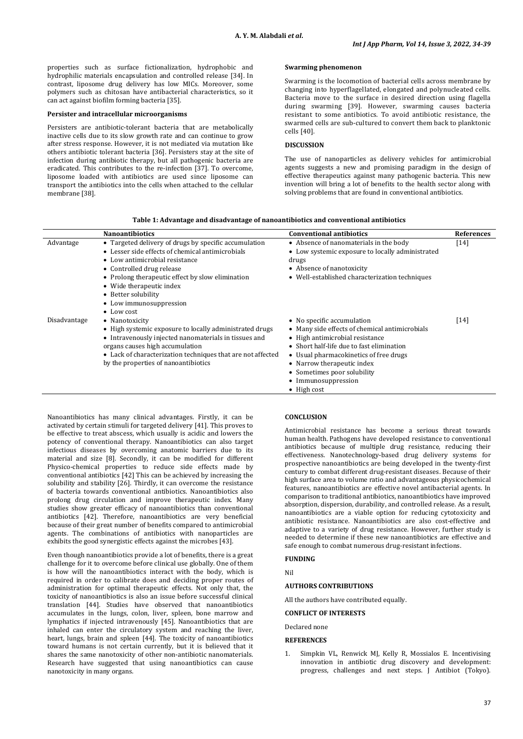properties such as surface fictionalization, hydrophobic and hydrophilic materials encapsulation and controlled release [34]. In contrast, liposome drug delivery has low MICs. Moreover, some polymers such as chitosan have antibacterial characteristics, so it can act against biofilm forming bacteria [35].

# **Persister and intracellular microorganisms**

Persisters are antibiotic-tolerant bacteria that are metabolically inactive cells due to its slow growth rate and can continue to grow after stress response. However, it is not mediated via mutation like others antibiotic tolerant bacteria [36]. Persisters stay at the site of infection during antibiotic therapy, but all pathogenic bacteria are eradicated. This contributes to the re-infection [37]. To overcome, liposome loaded with antibiotics are used since liposome can transport the antibiotics into the cells when attached to the cellular membrane [38].

### **Swarming phenomenon**

Swarming is the locomotion of bacterial cells across membrane by changing into hyperflagellated, elongated and polynucleated cells. Bacteria move to the surface in desired direction using flagella during swarming [39]. However, swarming causes bacteria resistant to some antibiotics. To avoid antibiotic resistance, the swarmed cells are sub-cultured to convert them back to planktonic cells [40].

#### **DISCUSSION**

The use of nanoparticles as delivery vehicles for antimicrobial agents suggests a new and promising paradigm in the design of effective therapeutics against many pathogenic bacteria. This new invention will bring a lot of benefits to the health sector along with solving problems that are found in conventional antibiotics.

|              | <b>Nanoantibiotics</b>                                                                                                                                                                                                                                                                                                           | <b>Conventional antibiotics</b>                                                                                                                                                                                                                                                                                   | <b>References</b> |
|--------------|----------------------------------------------------------------------------------------------------------------------------------------------------------------------------------------------------------------------------------------------------------------------------------------------------------------------------------|-------------------------------------------------------------------------------------------------------------------------------------------------------------------------------------------------------------------------------------------------------------------------------------------------------------------|-------------------|
| Advantage    | • Targeted delivery of drugs by specific accumulation<br>• Lesser side effects of chemical antimicrobials<br>• Low antimicrobial resistance<br>• Controlled drug release<br>• Prolong therapeutic effect by slow elimination<br>• Wide therapeutic index<br>• Better solubility<br>• Low immunosuppression<br>$\bullet$ Low cost | • Absence of nanomaterials in the body<br>• Low systemic exposure to locally administrated<br>drugs<br>• Absence of nanotoxicity<br>• Well-established characterization techniques                                                                                                                                | $[14]$            |
| Disadvantage | • Nanotoxicity<br>• High systemic exposure to locally administrated drugs<br>• Intravenously injected nanomaterials in tissues and<br>organs causes high accumulation<br>• Lack of characterization techniques that are not affected<br>by the properties of nanoantibiotics                                                     | • No specific accumulation<br>• Many side effects of chemical antimicrobials<br>• High antimicrobial resistance<br>• Short half-life due to fast elimination<br>• Usual pharmacokinetics of free drugs<br>• Narrow therapeutic index<br>• Sometimes poor solubility<br>• Immunosuppression<br>$\bullet$ High cost | $[14]$            |

Nanoantibiotics has many clinical advantages. Firstly, it can be activated by certain stimuli for targeted delivery [41]. This proves to be effective to treat abscess, which usually is acidic and lowers the potency of conventional therapy. Nanoantibiotics can also target infectious diseases by overcoming anatomic barriers due to its material and size [8]. Secondly, it can be modified for different Physico-chemical properties to reduce side effects made by conventional antibiotics [42] This can be achieved by increasing the solubility and stability [26]. Thirdly, it can overcome the resistance of bacteria towards conventional antibiotics. Nanoantibiotics also prolong drug circulation and improve therapeutic index. Many studies show greater efficacy of nanoantibiotics than conventional antibiotics [42]. Therefore, nanoantibiotics are very beneficial because of their great number of benefits compared to antimicrobial agents. The combinations of antibiotics with nanoparticles are exhibits the good synergistic effects against the microbes [43].

Even though nanoantibiotics provide a lot of benefits, there is a great challenge for it to overcome before clinical use globally. One of them is how will the nanoantibiotics interact with the body, which is required in order to calibrate does and deciding proper routes of administration for optimal therapeutic effects. Not only that, the toxicity of nanoantibiotics is also an issue before successful clinical translation [44]. Studies have observed that nanoantibiotics accumulates in the lungs, colon, liver, spleen, bone marrow and lymphatics if injected intravenously [45]. Nanoantibiotics that are inhaled can enter the circulatory system and reaching the liver, heart, lungs, brain and spleen [44]. The toxicity of nanoantibiotics toward humans is not certain currently, but it is believed that it shares the same nanotoxicity of other non-antibiotic nanomaterials. Research have suggested that using nanoantibiotics can cause nanotoxicity in many organs.

### **CONCLUSION**

Antimicrobial resistance has become a serious threat towards human health. Pathogens have developed resistance to conventional antibiotics because of multiple drug resistance, reducing their effectiveness. Nanotechnology-based drug delivery systems for prospective nanoantibiotics are being developed in the twenty-first century to combat different drug-resistant diseases. Because of their high surface area to volume ratio and advantageous physicochemical features, nanoantibiotics are effective novel antibacterial agents. In comparison to traditional antibiotics, nanoantibiotics have improved absorption, dispersion, durability, and controlled release. As a result, nanoantibiotics are a viable option for reducing cytotoxicity and antibiotic resistance. Nanoantibiotics are also cost-effective and adaptive to a variety of drug resistance. However, further study is needed to determine if these new nanoantibiotics are effective and safe enough to combat numerous drug-resistant infections.

Nil

**FUNDING**

# **AUTHORS CONTRIBUTIONS**

All the authors have contributed equally.

### **CONFLICT OF INTERESTS**

Declared none

### **REFERENCES**

1. Simpkin VL, Renwick MJ, Kelly R, Mossialos E. Incentivising innovation in antibiotic drug discovery and development: progress, challenges and next steps. J Antibiot (Tokyo).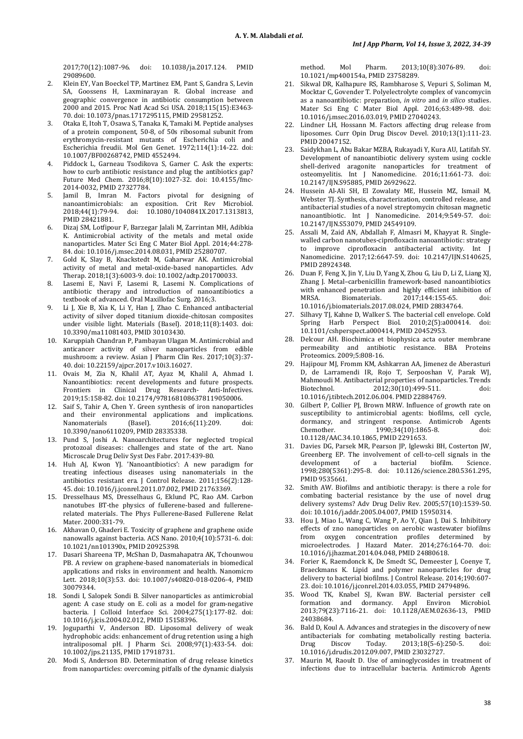2017;70(12):1087-96. doi: [10.1038/ja.2017.124.](https://doi.org/10.1038/ja.2017.124) PMID [29089600.](https://www.ncbi.nlm.nih.gov/pubmed/29089600)

- 2. Klein EY, Van Boeckel TP, Martinez EM, Pant S, Gandra S, Levin SA, Goossens H, Laxminarayan R. Global increase and geographic convergence in antibiotic consumption between 2000 and 2015. Proc Natl Acad Sci USA. 2018;115(15):E3463- 70. doi[: 10.1073/pnas.1717295115,](https://doi.org/10.1073/pnas.1717295115) PMI[D 29581252.](https://www.ncbi.nlm.nih.gov/pubmed/29581252)
- 3. Otaka E, Itoh T, Osawa S, Tanaka K, Tamaki M. Peptide analyses of a protein component, 50-8, of 50s ribosomal subunit from erythromycin-resistant mutants of Escherichia coli and Escherichia freudii. Mol Gen Genet. 1972;114(1):14-22. doi: [10.1007/BF00268742,](https://doi.org/10.1007/BF00268742) PMI[D 4552494.](https://www.ncbi.nlm.nih.gov/pubmed/4552494)
- 4. Piddock L, Garneau Tsodikova S, Garner C. Ask the experts: how to curb antibiotic resistance and plug the antibiotics gap? Future Med Chem. 2016;8(10):1027-32. doi: [10.4155/fmc-](https://doi.org/10.4155/fmc-2014-0032)[2014-0032,](https://doi.org/10.4155/fmc-2014-0032) PMI[D 27327784.](https://www.ncbi.nlm.nih.gov/pubmed/27327784)
- 5. Jamil B, Imran M. Factors pivotal for designing of nanoantimicrobials: an exposition. Crit Rev Microbiol. 2018;44(1):79-94. doi: [10.1080/1040841X.2017.1313813,](https://doi.org/10.1080/1040841X.2017.1313813)  PMI[D 28421881.](https://www.ncbi.nlm.nih.gov/pubmed/28421881)
- 6. Dizaj SM, Lotfipour F, Barzegar Jalali M, Zarrintan MH, Adibkia K. Antimicrobial activity of the metals and metal oxide nanoparticles. Mater Sci Eng C Mater Biol Appl. 2014;44:278- 84. doi[: 10.1016/j.msec.2014.08.031,](https://doi.org/10.1016/j.msec.2014.08.031) PMI[D 25280707.](https://www.ncbi.nlm.nih.gov/pubmed/25280707)
- 7. Gold K, Slay B, Knackstedt M, Gaharwar AK. Antimicrobial activity of metal and metal-oxide-based nanoparticles. Adv Therap. 2018;1(3):6003-9. doi[: 10.1002/adtp.201700033.](https://doi.org/10.1002/adtp.201700033)
- 8. Lasemi E, Navi F, Lasemi R, Lasemi N. Complications of antibiotic therapy and introduction of nanoantibiotics a textbook of advanced. Oral Maxillofac Surg. 2016;3.
- 9. Li J, Xie B, Xia K, Li Y, Han J, Zhao C. Enhanced antibacterial activity of silver doped titanium dioxide-chitosan composites under visible light. Materials (Basel). 2018;11(8):1403. doi: [10.3390/ma11081403,](https://doi.org/10.3390/ma11081403) PMI[D 30103430.](https://www.ncbi.nlm.nih.gov/pubmed/30103430)
- 10. Karuppiah Chandran P, Pambayan Ulagan M. Antimicrobial and anticancer activity of silver nanoparticles from edible mushroom: a review. Asian J Pharm Clin Res. 2017;10(3):37- 40. doi[: 10.22159/ajpcr.2017.v10i3.16027.](https://doi.org/10.22159/ajpcr.2017.v10i3.16027)
- 11. Ovais M, Zia N, Khalil AT, Ayaz M, Khalil A, Ahmad I. Nanoantibiotics: recent developments and future prospects. Frontiers in Clinical Drug Research- Anti-Infectives. 2019;15:158-82. doi[: 10.2174/9781681086378119050006.](https://doi.org/10.2174/9781681086378119050006)
- 12. Saif S, Tahir A, Chen Y. Green synthesis of iron nanoparticles and their environmental applications and implications.<br>Nanomaterials (Basel). 2016;6(11):209. doi: 2016;6(11):209. [10.3390/nano6110209,](https://doi.org/10.3390/nano6110209) PMI[D 28335338.](https://www.ncbi.nlm.nih.gov/pubmed/28335338)
- 13. Pund S, Joshi A. Nanoarchitectures for neglected tropical protozoal diseases: challenges and state of the art. Nano Microscale Drug Deliv Syst Des Fabr. 2017:439-80.
- 14. Huh AJ, Kwon YJ. 'Nanoantibiotics': A new paradigm for treating infectious diseases using nanomaterials in the antibiotics resistant era. J Control Release. 2011;156(2):128- 45. doi[: 10.1016/j.jconrel.2011.07.002,](https://doi.org/10.1016/j.jconrel.2011.07.002) PMI[D 21763369.](https://www.ncbi.nlm.nih.gov/pubmed/21763369)
- 15. Dresselhaus MS, Dresselhaus G, Eklund PC, Rao AM. Carbon nanotubes BT-the physics of fullerene-based and fullerenerelated materials. The Phys Fullerene-Based Fullerene Relat Mater. 2000:331-79.
- 16. Akhavan O, Ghaderi E. Toxicity of graphene and graphene oxide nanowalls against bacteria. ACS Nano. 2010;4(10):5731-6. doi: [10.1021/nn101390x,](https://doi.org/10.1021/nn101390x) PMI[D 20925398.](https://www.ncbi.nlm.nih.gov/pubmed/20925398)
- 17. Dasari Shareena TP, McShan D, Dasmahapatra AK, Tchounwou PB. A review on graphene-based nanomaterials in biomedical applications and risks in environment and health. Nanomicro Lett. 2018;10(3):53. doi: [10.1007/s40820-018-0206-4,](https://doi.org/10.1007/s40820-018-0206-4) PMID [30079344.](https://www.ncbi.nlm.nih.gov/pubmed/30079344)
- 18. Sondi I, Salopek Sondi B. Silver nanoparticles as antimicrobial agent: A case study on E. coli as a model for gram-negative bacteria. J Colloid Interface Sci. 2004;275(1):177-82. doi: [10.1016/j.jcis.2004.02.012,](https://doi.org/10.1016/j.jcis.2004.02.012) PMI[D 15158396.](https://www.ncbi.nlm.nih.gov/pubmed/15158396)
- 19. Joguparthi V, Anderson BD. Liposomal delivery of weak hydrophobic acids: enhancement of drug retention using a high intraliposomal pH. J Pharm Sci. 2008;97(1):433-54. doi: [10.1002/jps.21135,](https://doi.org/10.1002/jps.21135) PMI[D 17918731.](https://www.ncbi.nlm.nih.gov/pubmed/17918731)
- 20. Modi S, Anderson BD. Determination of drug release kinetics from nanoparticles: overcoming pitfalls of the dynamic dialysis

method. Mol Pharm. 2013;10(8):3076-89. doi: [10.1021/mp400154a,](https://doi.org/10.1021/mp400154a) PMI[D 23758289.](https://www.ncbi.nlm.nih.gov/pubmed/23758289)

- Sikwal DR, Kalhapure RS, Rambharose S, Vepuri S, Soliman M, Mocktar C, Govender T. Polyelectrolyte complex of vancomycin as a nanoantibiotic: preparation, *in vitro* and *in silico* studies. Mater Sci Eng C Mater Biol Appl. 2016;63:489-98. doi: [10.1016/j.msec.2016.03.019,](https://doi.org/10.1016/j.msec.2016.03.019) PMI[D 27040243.](https://www.ncbi.nlm.nih.gov/pubmed/27040243)
- Lindner LH, Hossann M. Factors affecting drug release from liposomes. Curr Opin Drug Discov Devel. 2010;13(1):111-23. PMI[D 20047152.](https://www.ncbi.nlm.nih.gov/pubmed/20047152)
- 23. Saidykhan L, Abu Bakar MZBA, Rukayadi Y, Kura AU, Latifah SY. Development of nanoantibiotic delivery system using cockle shell-derived aragonite nanoparticles for treatment of osteomyelitis. Int J Nanomedicine. 2016;11:661-73. doi: [10.2147/IJN.S95885,](https://doi.org/10.2147/IJN.S95885) PMI[D 26929622.](https://www.ncbi.nlm.nih.gov/pubmed/26929622)
- 24. Hussein Al-Ali SH, El Zowalaty ME, Hussein MZ, Ismail M, Webster TJ. Synthesis, characterization, controlled release, and antibacterial studies of a novel streptomycin chitosan magnetic nanoantibiotic. Int J Nanomedicine. 2014;9:549-57. doi: [10.2147/IJN.S53079,](https://doi.org/10.2147/IJN.S53079) PMI[D 24549109.](https://www.ncbi.nlm.nih.gov/pubmed/24549109)
- 25. Assali M, Zaid AN, Abdallah F, Almasri M, Khayyat R. Singlewalled carbon nanotubes-ciprofloxacin nanoantibiotic: strategy to improve ciprofloxacin antibacterial activity. Int J Nanomedicine. 2017;12:6647-59. doi: [10.2147/IJN.S140625,](https://doi.org/10.2147/IJN.S140625)  PMI[D 28924348.](https://www.ncbi.nlm.nih.gov/pubmed/28924348)
- 26. Duan F, Feng X, Jin Y, Liu D, Yang X, Zhou G, Liu D, Li Z, Liang XJ, Zhang J. Metal-carbenicillin framework-based nanoantibiotics with enhanced penetration and highly efficient inhibition of MRSA. Biomaterials. 2017;144:155-65. doi: MRSA. Biomaterials. 2017;144:155-65. doi: [10.1016/j.biomaterials.2017.08.024,](https://doi.org/10.1016/j.biomaterials.2017.08.024) PMI[D 28834764.](https://www.ncbi.nlm.nih.gov/pubmed/28834764)
- 27. Silhavy TJ, Kahne D, Walker S. The bacterial cell envelope. Cold Spring Harb Perspect Biol. 2010;2(5):a000414. doi: [10.1101/cshperspect.a000414,](https://doi.org/10.1101/cshperspect.a000414) PMI[D 20452953.](https://www.ncbi.nlm.nih.gov/pubmed/20452953)
- 28. Delcour AH. Biochimica et biophysica acta outer membrane permeability and antibiotic resistance. BBA Proteins Proteomics. 2009;5:808-16.
- 29. Hajipour MJ, Fromm KM, Ashkarran AA, Jimenez de Aberasturi D, de Larramendi IR, Rojo T, Serpooshan V, Parak WJ, Mahmoudi M. Antibacterial properties of nanoparticles. Trends 2012;30(10):499-511. [10.1016/j.tibtech.2012.06.004.](https://doi.org/10.1016/j.tibtech.2012.06.004) PMI[D 22884769.](https://www.ncbi.nlm.nih.gov/pubmed/22884769)
- 30. Gilbert P, Collier PJ, Brown MRW. Influence of growth rate on susceptibility to antimicrobial agents: biofilms, cell cycle, dormancy, and stringent response. Antimicrob Agents<br>Chemother. 1990:34(10):1865-8. doi:  $1990;34(10):1865-8.$ [10.1128/AAC.34.10.1865,](https://doi.org/10.1128/AAC.34.10.1865) PMID [2291653.](https://www.ncbi.nlm.nih.gov/pubmed/2291653)
- 31. Davies DG, Parsek MR, Pearson JP, Iglewski BH, Costerton JW, Greenberg EP. The involvement of cell-to-cell signals in the development of a bacterial biofilm. Science. development of a bacterial biofilm. Science. 1998;280(5361):295-8. doi: [10.1126/science.280.5361.295,](https://doi.org/10.1126/science.280.5361.295)  PMI[D 9535661.](https://www.ncbi.nlm.nih.gov/pubmed/9535661)
- 32. Smith AW. Biofilms and antibiotic therapy: is there a role for combating bacterial resistance by the use of novel drug delivery systems? Adv Drug Deliv Rev. 2005;57(10):1539-50. doi[: 10.1016/j.addr.2005.04.007,](https://doi.org/10.1016/j.addr.2005.04.007) PMI[D 15950314.](https://www.ncbi.nlm.nih.gov/pubmed/15950314)
- 33. Hou J, Miao L, Wang C, Wang P, Ao Y, Qian J, Dai S. Inhibitory effects of zno nanoparticles on aerobic wastewater biofilms<br>from oxygen concentration profiles determined by oxygen concentration profiles determined by microelectrodes. J Hazard Mater. 2014;276:164-70. doi: [10.1016/j.jhazmat.2014.04.048,](https://doi.org/10.1016/j.jhazmat.2014.04.048) PMI[D 24880618.](https://www.ncbi.nlm.nih.gov/pubmed/24880618)
- 34. Forier K, Raemdonck K, De Smedt SC, Demeester J, Coenye T, Braeckmans K. Lipid and polymer nanoparticles for drug delivery to bacterial biofilms. J Control Release. 2014;190:607- 23. doi[: 10.1016/j.jconrel.2014.03.055,](https://doi.org/10.1016/j.jconrel.2014.03.055) PMI[D 24794896.](https://www.ncbi.nlm.nih.gov/pubmed/24794896)
- 35. Wood TK, Knabel SJ, Kwan BW. Bacterial persister cell formation and dormancy. Appl Environ Microbiol. 2013;79(23):7116-21. doi: [10.1128/AEM.02636-13,](https://doi.org/10.1128/AEM.02636-13) PMID [24038684.](https://www.ncbi.nlm.nih.gov/pubmed/24038684)
- 36. Bald D, Koul A. Advances and strategies in the discovery of new antibacterials for combating metabolically resting bacteria.<br>Drug Discov Today. 2013;18(5-6):250-5. doi: Drug Discov Today. 2013;18(5-6):250-5. doi: [10.1016/j.drudis.2012.09.007,](https://doi.org/10.1016/j.drudis.2012.09.007) PMID [23032727.](https://www.ncbi.nlm.nih.gov/pubmed/23032727)
- 37. Maurin M, Raoult D. Use of aminoglycosides in treatment of infections due to intracellular bacteria. Antimicrob Agents